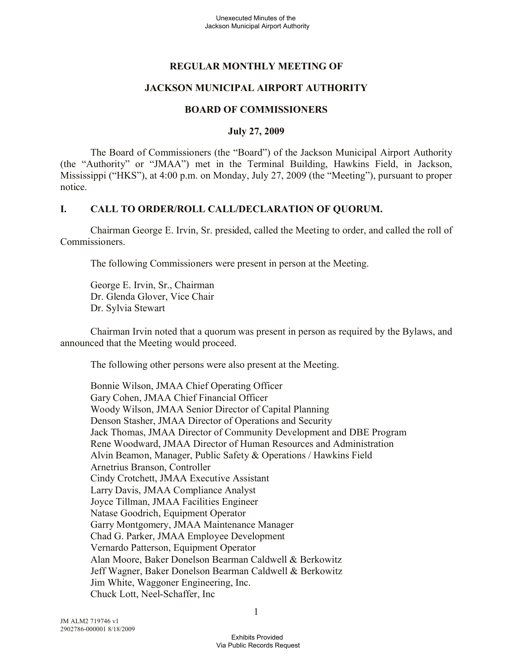# **REGULAR MONTHLY MEETING OF**

## **JACKSON MUNICIPAL AIRPORT AUTHORITY**

### **BOARD OF COMMISSIONERS**

#### **July 27, 2009**

The Board of Commissioners (the "Board") of the Jackson Municipal Airport Authority (the "Authority" or "JMAA") met in the Terminal Building, Hawkins Field, in Jackson, Mississippi ("HKS"), at 4:00 p.m. on Monday, July 27, 2009 (the "Meeting"), pursuant to proper notice.

## **I. CALL TO ORDER/ROLL CALL/DECLARATION OF QUORUM.**

Chairman George E. Irvin, Sr. presided, called the Meeting to order, and called the roll of Commissioners.

The following Commissioners were present in person at the Meeting.

George E. Irvin, Sr., Chairman Dr. Glenda Glover, Vice Chair Dr. Sylvia Stewart

Chairman Irvin noted that a quorum was present in person as required by the Bylaws, and announced that the Meeting would proceed.

The following other persons were also present at the Meeting.

Bonnie Wilson, JMAA Chief Operating Officer Gary Cohen, JMAA Chief Financial Officer Woody Wilson, JMAA Senior Director of Capital Planning Denson Stasher, JMAA Director of Operations and Security Jack Thomas, JMAA Director of Community Development and DBE Program Rene Woodward, JMAA Director of Human Resources and Administration Alvin Beamon, Manager, Public Safety & Operations / Hawkins Field Arnetrius Branson, Controller Cindy Crotchett, JMAA Executive Assistant Larry Davis, JMAA Compliance Analyst Joyce Tillman, JMAA Facilities Engineer Natase Goodrich, Equipment Operator Garry Montgomery, JMAA Maintenance Manager Chad G. Parker, JMAA Employee Development Vernardo Patterson, Equipment Operator Alan Moore, Baker Donelson Bearman Caldwell & Berkowitz Jeff Wagner, Baker Donelson Bearman Caldwell & Berkowitz Jim White, Waggoner Engineering, Inc. Chuck Lott, Neel-Schaffer, Inc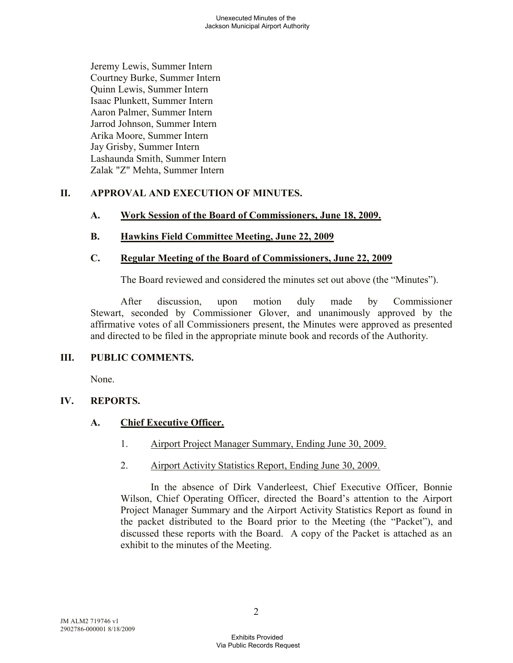Jeremy Lewis, Summer Intern Courtney Burke, Summer Intern Quinn Lewis, Summer Intern Isaac Plunkett, Summer Intern Aaron Palmer, Summer Intern Jarrod Johnson, Summer Intern Arika Moore, Summer Intern Jay Grisby, Summer Intern Lashaunda Smith, Summer Intern Zalak "Z" Mehta, Summer Intern

# **II. APPROVAL AND EXECUTION OF MINUTES.**

## **A. Work Session of the Board of Commissioners, June 18, 2009.**

## **B. Hawkins Field Committee Meeting, June 22, 2009**

#### **C. Regular Meeting of the Board of Commissioners, June 22, 2009**

The Board reviewed and considered the minutes set out above (the "Minutes").

After discussion, upon motion duly made by Commissioner Stewart, seconded by Commissioner Glover, and unanimously approved by the affirmative votes of all Commissioners present, the Minutes were approved as presented and directed to be filed in the appropriate minute book and records of the Authority.

#### **III. PUBLIC COMMENTS.**

None.

## **IV. REPORTS.**

## **A. Chief Executive Officer.**

- 1. Airport Project Manager Summary, Ending June 30, 2009.
- 2. Airport Activity Statistics Report, Ending June 30, 2009.

In the absence of Dirk Vanderleest, Chief Executive Officer, Bonnie Wilson, Chief Operating Officer, directed the Board's attention to the Airport Project Manager Summary and the Airport Activity Statistics Report as found in the packet distributed to the Board prior to the Meeting (the "Packet"), and discussed these reports with the Board. A copy of the Packet is attached as an exhibit to the minutes of the Meeting.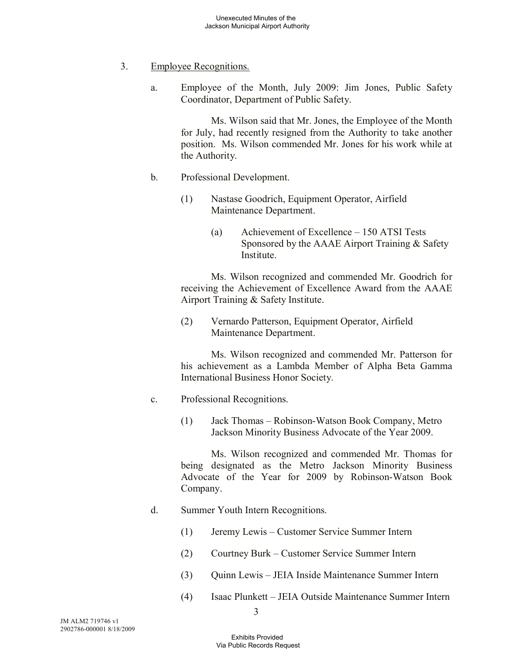- 3. Employee Recognitions.
	- a. Employee of the Month, July 2009: Jim Jones, Public Safety Coordinator, Department of Public Safety.

Ms. Wilson said that Mr. Jones, the Employee of the Month for July, had recently resigned from the Authority to take another position. Ms. Wilson commended Mr. Jones for his work while at the Authority.

- b. Professional Development.
	- (1) Nastase Goodrich, Equipment Operator, Airfield Maintenance Department.
		- (a) Achievement of Excellence 150 ATSI Tests Sponsored by the AAAE Airport Training & Safety Institute.

Ms. Wilson recognized and commended Mr. Goodrich for receiving the Achievement of Excellence Award from the AAAE Airport Training & Safety Institute.

(2) Vernardo Patterson, Equipment Operator, Airfield Maintenance Department.

Ms. Wilson recognized and commended Mr. Patterson for his achievement as a Lambda Member of Alpha Beta Gamma International Business Honor Society.

- c. Professional Recognitions.
	- (1) Jack Thomas Robinson-Watson Book Company, Metro Jackson Minority Business Advocate of the Year 2009.

Ms. Wilson recognized and commended Mr. Thomas for being designated as the Metro Jackson Minority Business Advocate of the Year for 2009 by Robinson-Watson Book Company.

- d. Summer Youth Intern Recognitions.
	- (1) Jeremy Lewis Customer Service Summer Intern
	- (2) Courtney Burk Customer Service Summer Intern
	- (3) Quinn Lewis JEIA Inside Maintenance Summer Intern
	- (4) Isaac Plunkett JEIA Outside Maintenance Summer Intern

3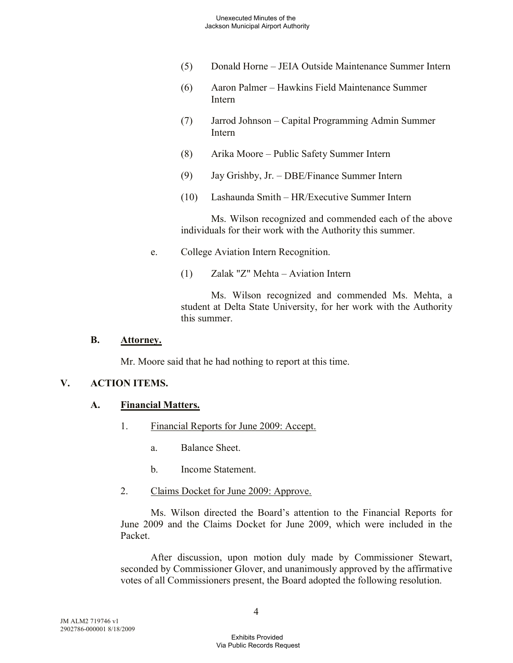- (5) Donald Horne JEIA Outside Maintenance Summer Intern
- (6) Aaron Palmer Hawkins Field Maintenance Summer Intern
- (7) Jarrod Johnson Capital Programming Admin Summer Intern
- (8) Arika Moore Public Safety Summer Intern
- (9) Jay Grishby, Jr. DBE/Finance Summer Intern
- (10) Lashaunda Smith HR/Executive Summer Intern

Ms. Wilson recognized and commended each of the above individuals for their work with the Authority this summer.

- e. College Aviation Intern Recognition.
	- (1) Zalak "Z" Mehta Aviation Intern

Ms. Wilson recognized and commended Ms. Mehta, a student at Delta State University, for her work with the Authority this summer.

#### **B. Attorney.**

Mr. Moore said that he had nothing to report at this time.

#### **V. ACTION ITEMS.**

## **A. Financial Matters.**

- 1. Financial Reports for June 2009: Accept.
	- a. Balance Sheet.
	- b. Income Statement.
- 2. Claims Docket for June 2009: Approve.

Ms. Wilson directed the Board's attention to the Financial Reports for June 2009 and the Claims Docket for June 2009, which were included in the Packet.

After discussion, upon motion duly made by Commissioner Stewart, seconded by Commissioner Glover, and unanimously approved by the affirmative votes of all Commissioners present, the Board adopted the following resolution.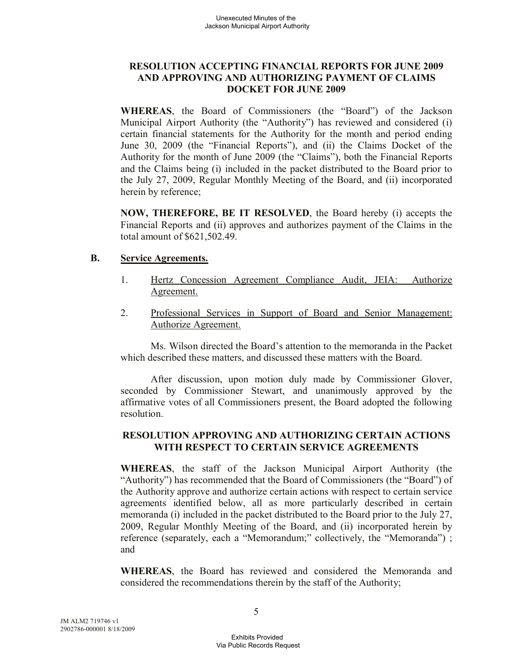## **RESOLUTION ACCEPTING FINANCIAL REPORTS FOR JUNE 2009 AND APPROVING AND AUTHORIZING PAYMENT OF CLAIMS DOCKET FOR JUNE 2009**

**WHEREAS**, the Board of Commissioners (the "Board") of the Jackson Municipal Airport Authority (the "Authority") has reviewed and considered (i) certain financial statements for the Authority for the month and period ending June 30, 2009 (the "Financial Reports"), and (ii) the Claims Docket of the Authority for the month of June 2009 (the "Claims"), both the Financial Reports and the Claims being (i) included in the packet distributed to the Board prior to the July 27, 2009, Regular Monthly Meeting of the Board, and (ii) incorporated herein by reference;

**NOW, THEREFORE, BE IT RESOLVED**, the Board hereby (i) accepts the Financial Reports and (ii) approves and authorizes payment of the Claims in the total amount of \$621,502.49.

#### **B. Service Agreements.**

- 1. Hertz Concession Agreement Compliance Audit, JEIA: Authorize Agreement.
- 2. Professional Services in Support of Board and Senior Management: Authorize Agreement.

Ms. Wilson directed the Board's attention to the memoranda in the Packet which described these matters, and discussed these matters with the Board.

After discussion, upon motion duly made by Commissioner Glover, seconded by Commissioner Stewart, and unanimously approved by the affirmative votes of all Commissioners present, the Board adopted the following resolution.

## **RESOLUTION APPROVING AND AUTHORIZING CERTAIN ACTIONS WITH RESPECT TO CERTAIN SERVICE AGREEMENTS**

**WHEREAS**, the staff of the Jackson Municipal Airport Authority (the "Authority") has recommended that the Board of Commissioners (the "Board") of the Authority approve and authorize certain actions with respect to certain service agreements identified below, all as more particularly described in certain memoranda (i) included in the packet distributed to the Board prior to the July 27, 2009, Regular Monthly Meeting of the Board, and (ii) incorporated herein by reference (separately, each a "Memorandum;" collectively, the "Memoranda"); and

**WHEREAS**, the Board has reviewed and considered the Memoranda and considered the recommendations therein by the staff of the Authority;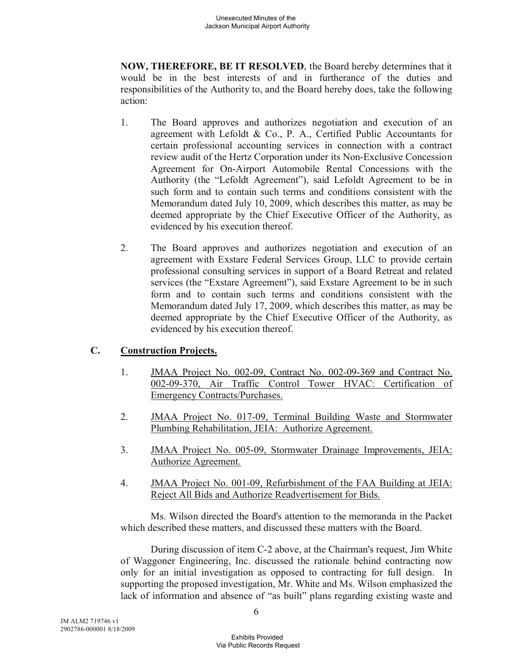**NOW, THEREFORE, BE IT RESOLVED**, the Board hereby determines that it would be in the best interests of and in furtherance of the duties and responsibilities of the Authority to, and the Board hereby does, take the following action:

- 1. The Board approves and authorizes negotiation and execution of an agreement with Lefoldt & Co., P. A., Certified Public Accountants for certain professional accounting services in connection with a contract review audit of the Hertz Corporation under its Non-Exclusive Concession Agreement for On-Airport Automobile Rental Concessions with the Authority (the "Lefoldt Agreement"), said Lefoldt Agreement to be in such form and to contain such terms and conditions consistent with the Memorandum dated July 10, 2009, which describes this matter, as may be deemed appropriate by the Chief Executive Officer of the Authority, as evidenced by his execution thereof.
- 2. The Board approves and authorizes negotiation and execution of an agreement with Exstare Federal Services Group, LLC to provide certain professional consulting services in support of a Board Retreat and related services (the "Exstare Agreement"), said Exstare Agreement to be in such form and to contain such terms and conditions consistent with the Memorandum dated July 17, 2009, which describes this matter, as may be deemed appropriate by the Chief Executive Officer of the Authority, as evidenced by his execution thereof.

## **C. Construction Projects.**

- 1. JMAA Project No. 002-09, Contract No. 002-09-369 and Contract No. 002-09-370, Air Traffic Control Tower HVAC: Certification of Emergency Contracts/Purchases.
- 2. JMAA Project No. 017-09, Terminal Building Waste and Stormwater Plumbing Rehabilitation, JEIA: Authorize Agreement.
- 3. JMAA Project No. 005-09, Stormwater Drainage Improvements, JEIA: Authorize Agreement.
- 4. JMAA Project No. 001-09, Refurbishment of the FAA Building at JEIA: Reject All Bids and Authorize Readvertisement for Bids.

Ms. Wilson directed the Board's attention to the memoranda in the Packet which described these matters, and discussed these matters with the Board.

During discussion of item C-2 above, at the Chairman's request, Jim White of Waggoner Engineering, Inc. discussed the rationale behind contracting now only for an initial investigation as opposed to contracting for full design. In supporting the proposed investigation, Mr. White and Ms. Wilson emphasized the lack of information and absence of "as built" plans regarding existing waste and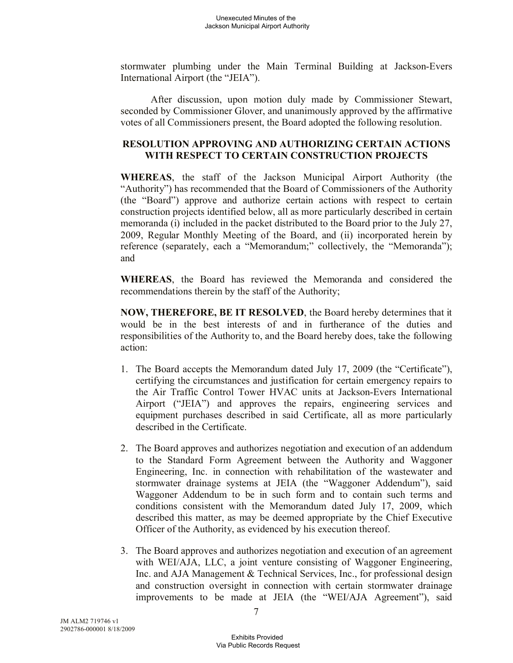stormwater plumbing under the Main Terminal Building at Jackson-Evers International Airport (the "JEIA").

After discussion, upon motion duly made by Commissioner Stewart, seconded by Commissioner Glover, and unanimously approved by the affirmative votes of all Commissioners present, the Board adopted the following resolution.

#### **RESOLUTION APPROVING AND AUTHORIZING CERTAIN ACTIONS WITH RESPECT TO CERTAIN CONSTRUCTION PROJECTS**

**WHEREAS**, the staff of the Jackson Municipal Airport Authority (the "Authority") has recommended that the Board of Commissioners of the Authority (the "Board") approve and authorize certain actions with respect to certain construction projects identified below, all as more particularly described in certain memoranda (i) included in the packet distributed to the Board prior to the July 27, 2009, Regular Monthly Meeting of the Board, and (ii) incorporated herein by reference (separately, each a "Memorandum;" collectively, the "Memoranda"); and

**WHEREAS**, the Board has reviewed the Memoranda and considered the recommendations therein by the staff of the Authority;

**NOW, THEREFORE, BE IT RESOLVED**, the Board hereby determines that it would be in the best interests of and in furtherance of the duties and responsibilities of the Authority to, and the Board hereby does, take the following action:

- 1. The Board accepts the Memorandum dated July 17, 2009 (the "Certificate"), certifying the circumstances and justification for certain emergency repairs to the Air Traffic Control Tower HVAC units at Jackson-Evers International Airport ("JEIA") and approves the repairs, engineering services and equipment purchases described in said Certificate, all as more particularly described in the Certificate.
- 2. The Board approves and authorizes negotiation and execution of an addendum to the Standard Form Agreement between the Authority and Waggoner Engineering, Inc. in connection with rehabilitation of the wastewater and stormwater drainage systems at JEIA (the "Waggoner Addendum"), said Waggoner Addendum to be in such form and to contain such terms and conditions consistent with the Memorandum dated July 17, 2009, which described this matter, as may be deemed appropriate by the Chief Executive Officer of the Authority, as evidenced by his execution thereof.
- 3. The Board approves and authorizes negotiation and execution of an agreement with WEI/AJA, LLC, a joint venture consisting of Waggoner Engineering, Inc. and AJA Management & Technical Services, Inc., for professional design and construction oversight in connection with certain stormwater drainage improvements to be made at JEIA (the "WEI/AJA Agreement"), said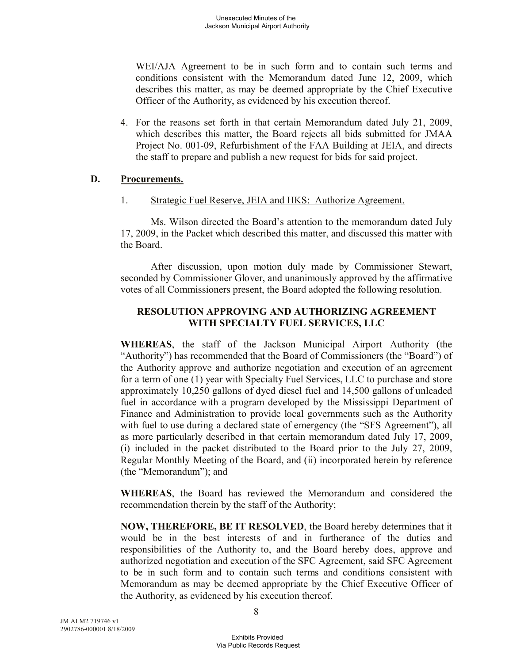WEI/AJA Agreement to be in such form and to contain such terms and conditions consistent with the Memorandum dated June 12, 2009, which describes this matter, as may be deemed appropriate by the Chief Executive Officer of the Authority, as evidenced by his execution thereof.

4. For the reasons set forth in that certain Memorandum dated July 21, 2009, which describes this matter, the Board rejects all bids submitted for JMAA Project No. 001-09, Refurbishment of the FAA Building at JEIA, and directs the staff to prepare and publish a new request for bids for said project.

#### **D. Procurements.**

#### 1. Strategic Fuel Reserve, JEIA and HKS: Authorize Agreement.

Ms. Wilson directed the Board's attention to the memorandum dated July 17, 2009, in the Packet which described this matter, and discussed this matter with the Board.

After discussion, upon motion duly made by Commissioner Stewart, seconded by Commissioner Glover, and unanimously approved by the affirmative votes of all Commissioners present, the Board adopted the following resolution.

## **RESOLUTION APPROVING AND AUTHORIZING AGREEMENT WITH SPECIALTY FUEL SERVICES, LLC**

**WHEREAS**, the staff of the Jackson Municipal Airport Authority (the "Authority") has recommended that the Board of Commissioners (the "Board") of the Authority approve and authorize negotiation and execution of an agreement for a term of one (1) year with Specialty Fuel Services, LLC to purchase and store approximately 10,250 gallons of dyed diesel fuel and 14,500 gallons of unleaded fuel in accordance with a program developed by the Mississippi Department of Finance and Administration to provide local governments such as the Authority with fuel to use during a declared state of emergency (the "SFS Agreement"), all as more particularly described in that certain memorandum dated July 17, 2009, (i) included in the packet distributed to the Board prior to the July 27, 2009, Regular Monthly Meeting of the Board, and (ii) incorporated herein by reference (the "Memorandum"); and

**WHEREAS**, the Board has reviewed the Memorandum and considered the recommendation therein by the staff of the Authority;

**NOW, THEREFORE, BE IT RESOLVED**, the Board hereby determines that it would be in the best interests of and in furtherance of the duties and responsibilities of the Authority to, and the Board hereby does, approve and authorized negotiation and execution of the SFC Agreement, said SFC Agreement to be in such form and to contain such terms and conditions consistent with Memorandum as may be deemed appropriate by the Chief Executive Officer of the Authority, as evidenced by his execution thereof.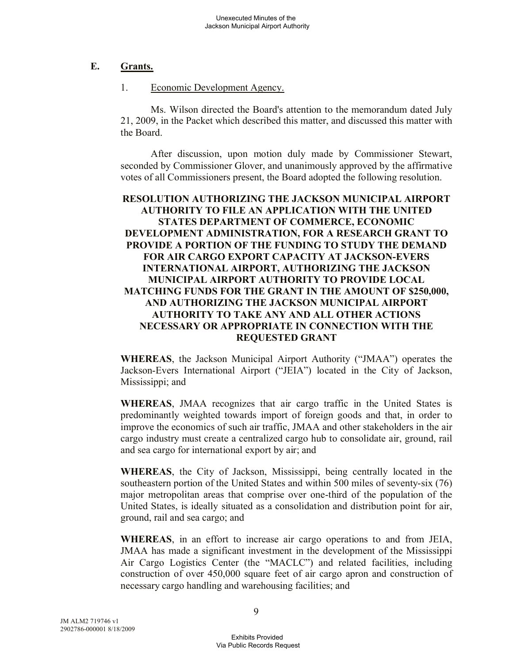## **E. Grants.**

#### 1. Economic Development Agency.

Ms. Wilson directed the Board's attention to the memorandum dated July 21, 2009, in the Packet which described this matter, and discussed this matter with the Board.

After discussion, upon motion duly made by Commissioner Stewart, seconded by Commissioner Glover, and unanimously approved by the affirmative votes of all Commissioners present, the Board adopted the following resolution.

### **RESOLUTION AUTHORIZING THE JACKSON MUNICIPAL AIRPORT AUTHORITY TO FILE AN APPLICATION WITH THE UNITED STATES DEPARTMENT OF COMMERCE, ECONOMIC DEVELOPMENT ADMINISTRATION, FOR A RESEARCH GRANT TO PROVIDE A PORTION OF THE FUNDING TO STUDY THE DEMAND FOR AIR CARGO EXPORT CAPACITY AT JACKSON-EVERS INTERNATIONAL AIRPORT, AUTHORIZING THE JACKSON MUNICIPAL AIRPORT AUTHORITY TO PROVIDE LOCAL MATCHING FUNDS FOR THE GRANT IN THE AMOUNT OF \$250,000, AND AUTHORIZING THE JACKSON MUNICIPAL AIRPORT AUTHORITY TO TAKE ANY AND ALL OTHER ACTIONS NECESSARY OR APPROPRIATE IN CONNECTION WITH THE REQUESTED GRANT**

**WHEREAS**, the Jackson Municipal Airport Authority ("JMAA") operates the Jackson-Evers International Airport ("JEIA") located in the City of Jackson, Mississippi; and

**WHEREAS**, JMAA recognizes that air cargo traffic in the United States is predominantly weighted towards import of foreign goods and that, in order to improve the economics of such air traffic, JMAA and other stakeholders in the air cargo industry must create a centralized cargo hub to consolidate air, ground, rail and sea cargo for international export by air; and

**WHEREAS**, the City of Jackson, Mississippi, being centrally located in the southeastern portion of the United States and within 500 miles of seventy-six (76) major metropolitan areas that comprise over one-third of the population of the United States, is ideally situated as a consolidation and distribution point for air, ground, rail and sea cargo; and

**WHEREAS**, in an effort to increase air cargo operations to and from JEIA, JMAA has made a significant investment in the development of the Mississippi Air Cargo Logistics Center (the "MACLC") and related facilities, including construction of over 450,000 square feet of air cargo apron and construction of necessary cargo handling and warehousing facilities; and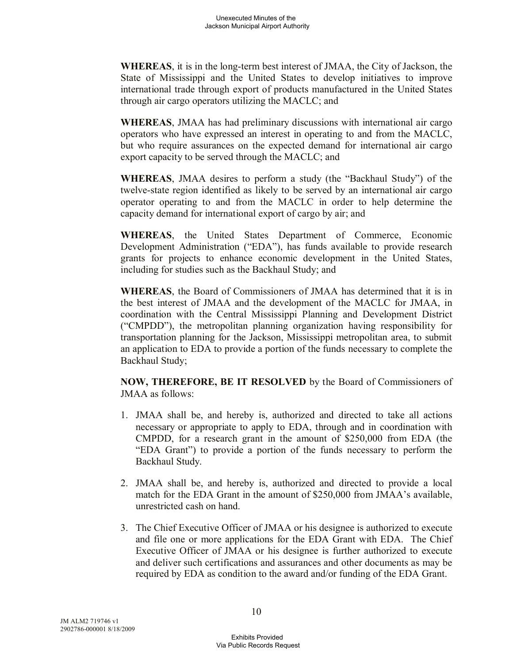**WHEREAS**, it is in the long-term best interest of JMAA, the City of Jackson, the State of Mississippi and the United States to develop initiatives to improve international trade through export of products manufactured in the United States through air cargo operators utilizing the MACLC; and

**WHEREAS**, JMAA has had preliminary discussions with international air cargo operators who have expressed an interest in operating to and from the MACLC, but who require assurances on the expected demand for international air cargo export capacity to be served through the MACLC; and

**WHEREAS**, JMAA desires to perform a study (the "Backhaul Study") of the twelve-state region identified as likely to be served by an international air cargo operator operating to and from the MACLC in order to help determine the capacity demand for international export of cargo by air; and

**WHEREAS**, the United States Department of Commerce, Economic Development Administration ("EDA"), has funds available to provide research grants for projects to enhance economic development in the United States, including for studies such as the Backhaul Study; and

**WHEREAS**, the Board of Commissioners of JMAA has determined that it is in the best interest of JMAA and the development of the MACLC for JMAA, in coordination with the Central Mississippi Planning and Development District ("CMPDD"), the metropolitan planning organization having responsibility for transportation planning for the Jackson, Mississippi metropolitan area, to submit an application to EDA to provide a portion of the funds necessary to complete the Backhaul Study;

**NOW, THEREFORE, BE IT RESOLVED** by the Board of Commissioners of JMAA as follows:

- 1. JMAA shall be, and hereby is, authorized and directed to take all actions necessary or appropriate to apply to EDA, through and in coordination with CMPDD, for a research grant in the amount of \$250,000 from EDA (the "EDA Grant") to provide a portion of the funds necessary to perform the Backhaul Study.
- 2. JMAA shall be, and hereby is, authorized and directed to provide a local match for the EDA Grant in the amount of \$250,000 from JMAA's available, unrestricted cash on hand.
- 3. The Chief Executive Officer of JMAA or his designee is authorized to execute and file one or more applications for the EDA Grant with EDA. The Chief Executive Officer of JMAA or his designee is further authorized to execute and deliver such certifications and assurances and other documents as may be required by EDA as condition to the award and/or funding of the EDA Grant.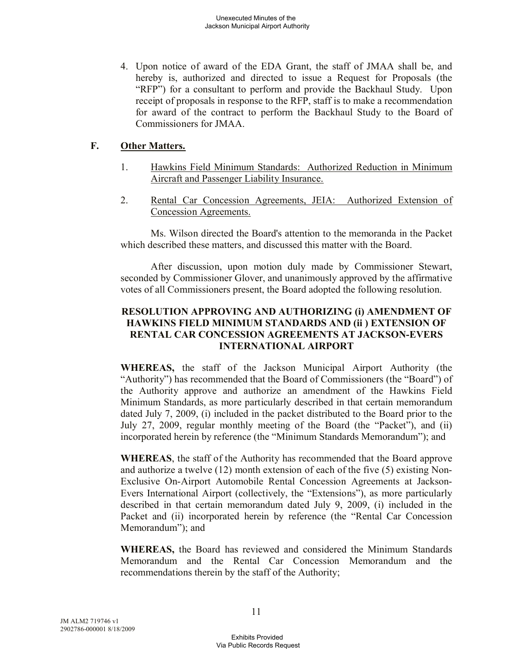4. Upon notice of award of the EDA Grant, the staff of JMAA shall be, and hereby is, authorized and directed to issue a Request for Proposals (the "RFP") for a consultant to perform and provide the Backhaul Study. Upon receipt of proposals in response to the RFP, staff is to make a recommendation for award of the contract to perform the Backhaul Study to the Board of Commissioners for JMAA.

## **F. Other Matters.**

- 1. Hawkins Field Minimum Standards: Authorized Reduction in Minimum Aircraft and Passenger Liability Insurance.
- 2. Rental Car Concession Agreements, JEIA: Authorized Extension of Concession Agreements.

Ms. Wilson directed the Board's attention to the memoranda in the Packet which described these matters, and discussed this matter with the Board.

After discussion, upon motion duly made by Commissioner Stewart, seconded by Commissioner Glover, and unanimously approved by the affirmative votes of all Commissioners present, the Board adopted the following resolution.

## **RESOLUTION APPROVING AND AUTHORIZING (i) AMENDMENT OF HAWKINS FIELD MINIMUM STANDARDS AND (ii ) EXTENSION OF RENTAL CAR CONCESSION AGREEMENTS AT JACKSON-EVERS INTERNATIONAL AIRPORT**

**WHEREAS,** the staff of the Jackson Municipal Airport Authority (the "Authority") has recommended that the Board of Commissioners (the "Board") of the Authority approve and authorize an amendment of the Hawkins Field Minimum Standards, as more particularly described in that certain memorandum dated July 7, 2009, (i) included in the packet distributed to the Board prior to the July 27, 2009, regular monthly meeting of the Board (the "Packet"), and (ii) incorporated herein by reference (the "Minimum Standards Memorandum"); and

**WHEREAS**, the staff of the Authority has recommended that the Board approve and authorize a twelve (12) month extension of each of the five (5) existing Non-Exclusive On-Airport Automobile Rental Concession Agreements at Jackson-Evers International Airport (collectively, the "Extensions"), as more particularly described in that certain memorandum dated July 9, 2009, (i) included in the Packet and (ii) incorporated herein by reference (the "Rental Car Concession Memorandum"); and

**WHEREAS,** the Board has reviewed and considered the Minimum Standards Memorandum and the Rental Car Concession Memorandum and the recommendations therein by the staff of the Authority;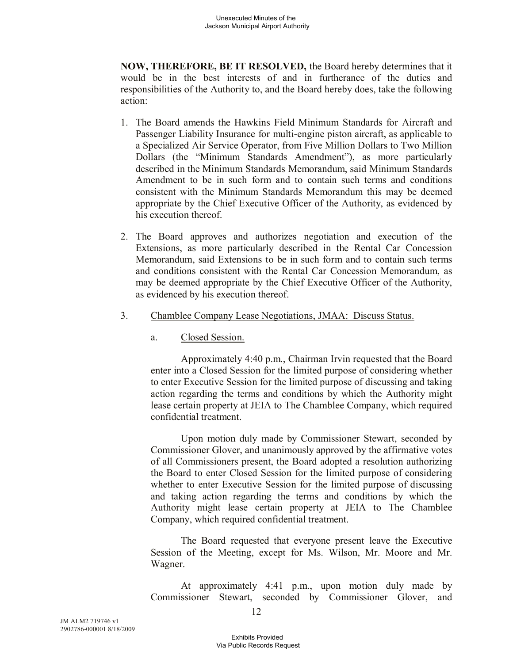**NOW, THEREFORE, BE IT RESOLVED,** the Board hereby determines that it would be in the best interests of and in furtherance of the duties and responsibilities of the Authority to, and the Board hereby does, take the following action:

- 1. The Board amends the Hawkins Field Minimum Standards for Aircraft and Passenger Liability Insurance for multi-engine piston aircraft, as applicable to a Specialized Air Service Operator, from Five Million Dollars to Two Million Dollars (the "Minimum Standards Amendment"), as more particularly described in the Minimum Standards Memorandum, said Minimum Standards Amendment to be in such form and to contain such terms and conditions consistent with the Minimum Standards Memorandum this may be deemed appropriate by the Chief Executive Officer of the Authority, as evidenced by his execution thereof.
- 2. The Board approves and authorizes negotiation and execution of the Extensions, as more particularly described in the Rental Car Concession Memorandum, said Extensions to be in such form and to contain such terms and conditions consistent with the Rental Car Concession Memorandum, as may be deemed appropriate by the Chief Executive Officer of the Authority, as evidenced by his execution thereof.
- 3. Chamblee Company Lease Negotiations, JMAA: Discuss Status.
	- a. Closed Session.

Approximately 4:40 p.m., Chairman Irvin requested that the Board enter into a Closed Session for the limited purpose of considering whether to enter Executive Session for the limited purpose of discussing and taking action regarding the terms and conditions by which the Authority might lease certain property at JEIA to The Chamblee Company, which required confidential treatment.

Upon motion duly made by Commissioner Stewart, seconded by Commissioner Glover, and unanimously approved by the affirmative votes of all Commissioners present, the Board adopted a resolution authorizing the Board to enter Closed Session for the limited purpose of considering whether to enter Executive Session for the limited purpose of discussing and taking action regarding the terms and conditions by which the Authority might lease certain property at JEIA to The Chamblee Company, which required confidential treatment.

The Board requested that everyone present leave the Executive Session of the Meeting, except for Ms. Wilson, Mr. Moore and Mr. Wagner.

At approximately 4:41 p.m., upon motion duly made by Commissioner Stewart, seconded by Commissioner Glover, and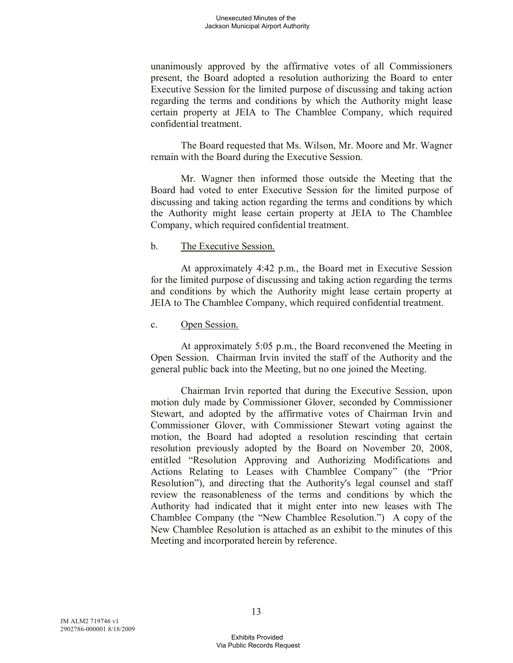unanimously approved by the affirmative votes of all Commissioners present, the Board adopted a resolution authorizing the Board to enter Executive Session for the limited purpose of discussing and taking action regarding the terms and conditions by which the Authority might lease certain property at JEIA to The Chamblee Company, which required confidential treatment.

The Board requested that Ms. Wilson, Mr. Moore and Mr. Wagner remain with the Board during the Executive Session.

Mr. Wagner then informed those outside the Meeting that the Board had voted to enter Executive Session for the limited purpose of discussing and taking action regarding the terms and conditions by which the Authority might lease certain property at JEIA to The Chamblee Company, which required confidential treatment.

#### b. The Executive Session.

At approximately 4:42 p.m., the Board met in Executive Session for the limited purpose of discussing and taking action regarding the terms and conditions by which the Authority might lease certain property at JEIA to The Chamblee Company, which required confidential treatment.

#### c. Open Session.

At approximately 5:05 p.m., the Board reconvened the Meeting in Open Session. Chairman Irvin invited the staff of the Authority and the general public back into the Meeting, but no one joined the Meeting.

Chairman Irvin reported that during the Executive Session, upon motion duly made by Commissioner Glover, seconded by Commissioner Stewart, and adopted by the affirmative votes of Chairman Irvin and Commissioner Glover, with Commissioner Stewart voting against the motion, the Board had adopted a resolution rescinding that certain resolution previously adopted by the Board on November 20, 2008, entitled "Resolution Approving and Authorizing Modifications and Actions Relating to Leases with Chamblee Company" (the "Prior Resolution"), and directing that the Authority's legal counsel and staff review the reasonableness of the terms and conditions by which the Authority had indicated that it might enter into new leases with The Chamblee Company (the "New Chamblee Resolution.") A copy of the New Chamblee Resolution is attached as an exhibit to the minutes of this Meeting and incorporated herein by reference.